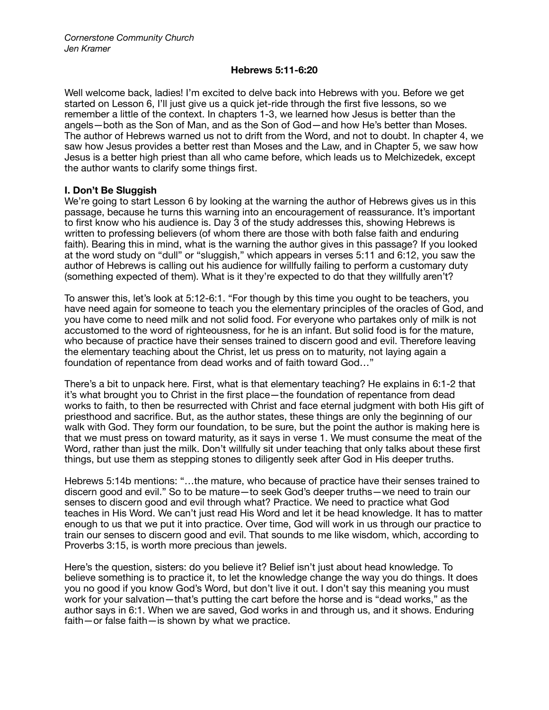### **Hebrews 5:11-6:20**

Well welcome back, ladies! I'm excited to delve back into Hebrews with you. Before we get started on Lesson 6, I'll just give us a quick jet-ride through the first five lessons, so we remember a little of the context. In chapters 1-3, we learned how Jesus is better than the angels—both as the Son of Man, and as the Son of God—and how He's better than Moses. The author of Hebrews warned us not to drift from the Word, and not to doubt. In chapter 4, we saw how Jesus provides a better rest than Moses and the Law, and in Chapter 5, we saw how Jesus is a better high priest than all who came before, which leads us to Melchizedek, except the author wants to clarify some things first.

# **I. Don't Be Sluggish**

We're going to start Lesson 6 by looking at the warning the author of Hebrews gives us in this passage, because he turns this warning into an encouragement of reassurance. It's important to first know who his audience is. Day 3 of the study addresses this, showing Hebrews is written to professing believers (of whom there are those with both false faith and enduring faith). Bearing this in mind, what is the warning the author gives in this passage? If you looked at the word study on "dull" or "sluggish," which appears in verses 5:11 and 6:12, you saw the author of Hebrews is calling out his audience for willfully failing to perform a customary duty (something expected of them). What is it they're expected to do that they willfully aren't?

To answer this, let's look at 5:12-6:1. "For though by this time you ought to be teachers, you have need again for someone to teach you the elementary principles of the oracles of God, and you have come to need milk and not solid food. For everyone who partakes only of milk is not accustomed to the word of righteousness, for he is an infant. But solid food is for the mature, who because of practice have their senses trained to discern good and evil. Therefore leaving the elementary teaching about the Christ, let us press on to maturity, not laying again a foundation of repentance from dead works and of faith toward God…"

There's a bit to unpack here. First, what is that elementary teaching? He explains in 6:1-2 that it's what brought you to Christ in the first place—the foundation of repentance from dead works to faith, to then be resurrected with Christ and face eternal judgment with both His gift of priesthood and sacrifice. But, as the author states, these things are only the beginning of our walk with God. They form our foundation, to be sure, but the point the author is making here is that we must press on toward maturity, as it says in verse 1. We must consume the meat of the Word, rather than just the milk. Don't willfully sit under teaching that only talks about these first things, but use them as stepping stones to diligently seek after God in His deeper truths.

Hebrews 5:14b mentions: "…the mature, who because of practice have their senses trained to discern good and evil." So to be mature—to seek God's deeper truths—we need to train our senses to discern good and evil through what? Practice. We need to practice what God teaches in His Word. We can't just read His Word and let it be head knowledge. It has to matter enough to us that we put it into practice. Over time, God will work in us through our practice to train our senses to discern good and evil. That sounds to me like wisdom, which, according to Proverbs 3:15, is worth more precious than jewels.

Here's the question, sisters: do you believe it? Belief isn't just about head knowledge. To believe something is to practice it, to let the knowledge change the way you do things. It does you no good if you know God's Word, but don't live it out. I don't say this meaning you must work for your salvation—that's putting the cart before the horse and is "dead works," as the author says in 6:1. When we are saved, God works in and through us, and it shows. Enduring faith—or false faith—is shown by what we practice.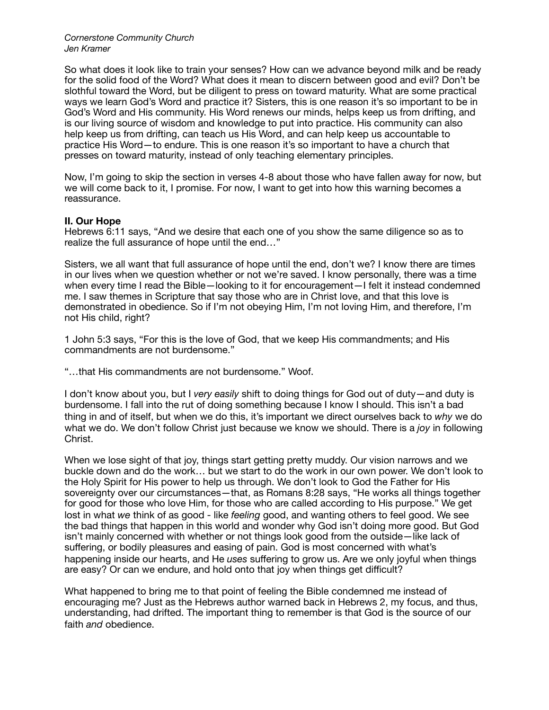So what does it look like to train your senses? How can we advance beyond milk and be ready for the solid food of the Word? What does it mean to discern between good and evil? Don't be slothful toward the Word, but be diligent to press on toward maturity. What are some practical ways we learn God's Word and practice it? Sisters, this is one reason it's so important to be in God's Word and His community. His Word renews our minds, helps keep us from drifting, and is our living source of wisdom and knowledge to put into practice. His community can also help keep us from drifting, can teach us His Word, and can help keep us accountable to practice His Word—to endure. This is one reason it's so important to have a church that presses on toward maturity, instead of only teaching elementary principles.

Now, I'm going to skip the section in verses 4-8 about those who have fallen away for now, but we will come back to it, I promise. For now, I want to get into how this warning becomes a reassurance.

## **II. Our Hope**

Hebrews 6:11 says, "And we desire that each one of you show the same diligence so as to realize the full assurance of hope until the end…"

Sisters, we all want that full assurance of hope until the end, don't we? I know there are times in our lives when we question whether or not we're saved. I know personally, there was a time when every time I read the Bible—looking to it for encouragement—I felt it instead condemned me. I saw themes in Scripture that say those who are in Christ love, and that this love is demonstrated in obedience. So if I'm not obeying Him, I'm not loving Him, and therefore, I'm not His child, right?

1 John 5:3 says, "For this is the love of God, that we keep His commandments; and His commandments are not burdensome."

"…that His commandments are not burdensome." Woof.

I don't know about you, but I *very easily* shift to doing things for God out of duty—and duty is burdensome. I fall into the rut of doing something because I know I should. This isn't a bad thing in and of itself, but when we do this, it's important we direct ourselves back to *why* we do what we do. We don't follow Christ just because we know we should. There is a *joy* in following Christ.

When we lose sight of that joy, things start getting pretty muddy. Our vision narrows and we buckle down and do the work… but we start to do the work in our own power. We don't look to the Holy Spirit for His power to help us through. We don't look to God the Father for His sovereignty over our circumstances—that, as Romans 8:28 says, "He works all things together for good for those who love Him, for those who are called according to His purpose." We get lost in what *we* think of as good - like *feeling* good, and wanting others to feel good. We see the bad things that happen in this world and wonder why God isn't doing more good. But God isn't mainly concerned with whether or not things look good from the outside—like lack of suffering, or bodily pleasures and easing of pain. God is most concerned with what's happening inside our hearts, and He *uses* suffering to grow us. Are we only joyful when things are easy? Or can we endure, and hold onto that joy when things get difficult?

What happened to bring me to that point of feeling the Bible condemned me instead of encouraging me? Just as the Hebrews author warned back in Hebrews 2, my focus, and thus, understanding, had drifted. The important thing to remember is that God is the source of our faith *and* obedience.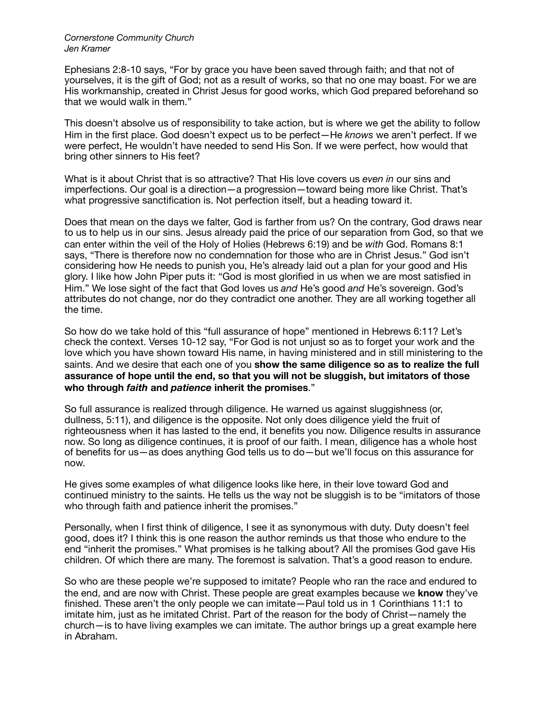Ephesians 2:8-10 says, "For by grace you have been saved through faith; and that not of yourselves, it is the gift of God; not as a result of works, so that no one may boast. For we are His workmanship, created in Christ Jesus for good works, which God prepared beforehand so that we would walk in them."

This doesn't absolve us of responsibility to take action, but is where we get the ability to follow Him in the first place. God doesn't expect us to be perfect—He *knows* we aren't perfect. If we were perfect, He wouldn't have needed to send His Son. If we were perfect, how would that bring other sinners to His feet?

What is it about Christ that is so attractive? That His love covers us *even in* our sins and imperfections. Our goal is a direction—a progression—toward being more like Christ. That's what progressive sanctification is. Not perfection itself, but a heading toward it.

Does that mean on the days we falter, God is farther from us? On the contrary, God draws near to us to help us in our sins. Jesus already paid the price of our separation from God, so that we can enter within the veil of the Holy of Holies (Hebrews 6:19) and be *with* God. Romans 8:1 says, "There is therefore now no condemnation for those who are in Christ Jesus." God isn't considering how He needs to punish you, He's already laid out a plan for your good and His glory. I like how John Piper puts it: "God is most glorified in us when we are most satisfied in Him." We lose sight of the fact that God loves us *and* He's good *and* He's sovereign. God's attributes do not change, nor do they contradict one another. They are all working together all the time.

So how do we take hold of this "full assurance of hope" mentioned in Hebrews 6:11? Let's check the context. Verses 10-12 say, "For God is not unjust so as to forget your work and the love which you have shown toward His name, in having ministered and in still ministering to the saints. And we desire that each one of you **show the same diligence so as to realize the full assurance of hope until the end, so that you will not be sluggish, but imitators of those who through** *faith* **and** *patience* **inherit the promises**."

So full assurance is realized through diligence. He warned us against sluggishness (or, dullness, 5:11), and diligence is the opposite. Not only does diligence yield the fruit of righteousness when it has lasted to the end, it benefits you now. Diligence results in assurance now. So long as diligence continues, it is proof of our faith. I mean, diligence has a whole host of benefits for us—as does anything God tells us to do—but we'll focus on this assurance for now.

He gives some examples of what diligence looks like here, in their love toward God and continued ministry to the saints. He tells us the way not be sluggish is to be "imitators of those who through faith and patience inherit the promises."

Personally, when I first think of diligence, I see it as synonymous with duty. Duty doesn't feel good, does it? I think this is one reason the author reminds us that those who endure to the end "inherit the promises." What promises is he talking about? All the promises God gave His children. Of which there are many. The foremost is salvation. That's a good reason to endure.

So who are these people we're supposed to imitate? People who ran the race and endured to the end, and are now with Christ. These people are great examples because we **know** they've finished. These aren't the only people we can imitate—Paul told us in 1 Corinthians 11:1 to imitate him, just as he imitated Christ. Part of the reason for the body of Christ—namely the church—is to have living examples we can imitate. The author brings up a great example here in Abraham.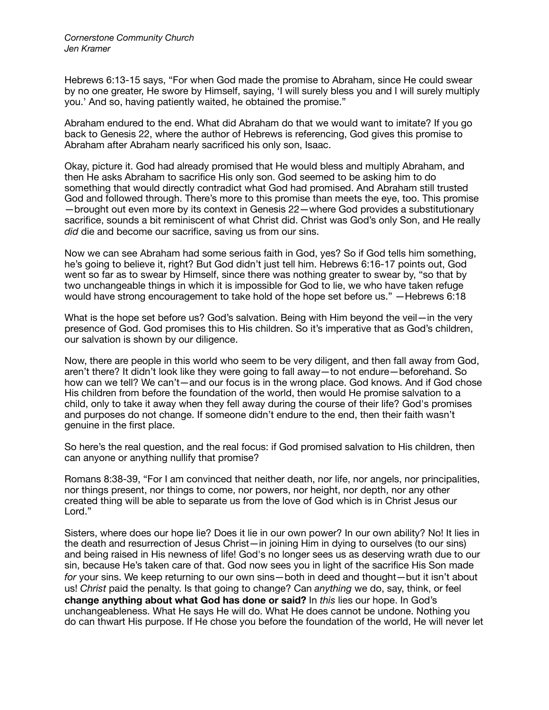Hebrews 6:13-15 says, "For when God made the promise to Abraham, since He could swear by no one greater, He swore by Himself, saying, 'I will surely bless you and I will surely multiply you.' And so, having patiently waited, he obtained the promise."

Abraham endured to the end. What did Abraham do that we would want to imitate? If you go back to Genesis 22, where the author of Hebrews is referencing, God gives this promise to Abraham after Abraham nearly sacrificed his only son, Isaac.

Okay, picture it. God had already promised that He would bless and multiply Abraham, and then He asks Abraham to sacrifice His only son. God seemed to be asking him to do something that would directly contradict what God had promised. And Abraham still trusted God and followed through. There's more to this promise than meets the eye, too. This promise —brought out even more by its context in Genesis 22—where God provides a substitutionary sacrifice, sounds a bit reminiscent of what Christ did. Christ was God's only Son, and He really *did* die and become our sacrifice, saving us from our sins.

Now we can see Abraham had some serious faith in God, yes? So if God tells him something, he's going to believe it, right? But God didn't just tell him. Hebrews 6:16-17 points out, God went so far as to swear by Himself, since there was nothing greater to swear by, "so that by two unchangeable things in which it is impossible for God to lie, we who have taken refuge would have strong encouragement to take hold of the hope set before us." —Hebrews 6:18

What is the hope set before us? God's salvation. Being with Him beyond the veil—in the very presence of God. God promises this to His children. So it's imperative that as God's children, our salvation is shown by our diligence.

Now, there are people in this world who seem to be very diligent, and then fall away from God, aren't there? It didn't look like they were going to fall away—to not endure—beforehand. So how can we tell? We can't—and our focus is in the wrong place. God knows. And if God chose His children from before the foundation of the world, then would He promise salvation to a child, only to take it away when they fell away during the course of their life? God's promises and purposes do not change. If someone didn't endure to the end, then their faith wasn't genuine in the first place.

So here's the real question, and the real focus: if God promised salvation to His children, then can anyone or anything nullify that promise?

Romans 8:38-39, "For I am convinced that neither death, nor life, nor angels, nor principalities, nor things present, nor things to come, nor powers, nor height, nor depth, nor any other created thing will be able to separate us from the love of God which is in Christ Jesus our Lord."

Sisters, where does our hope lie? Does it lie in our own power? In our own ability? No! It lies in the death and resurrection of Jesus Christ—in joining Him in dying to ourselves (to our sins) and being raised in His newness of life! God's no longer sees us as deserving wrath due to our sin, because He's taken care of that. God now sees you in light of the sacrifice His Son made *for* your sins. We keep returning to our own sins—both in deed and thought—but it isn't about us! *Christ* paid the penalty. Is that going to change? Can *anything* we do, say, think, or feel **change anything about what God has done or said?** In *this* lies our hope. In God's unchangeableness. What He says He will do. What He does cannot be undone. Nothing you do can thwart His purpose. If He chose you before the foundation of the world, He will never let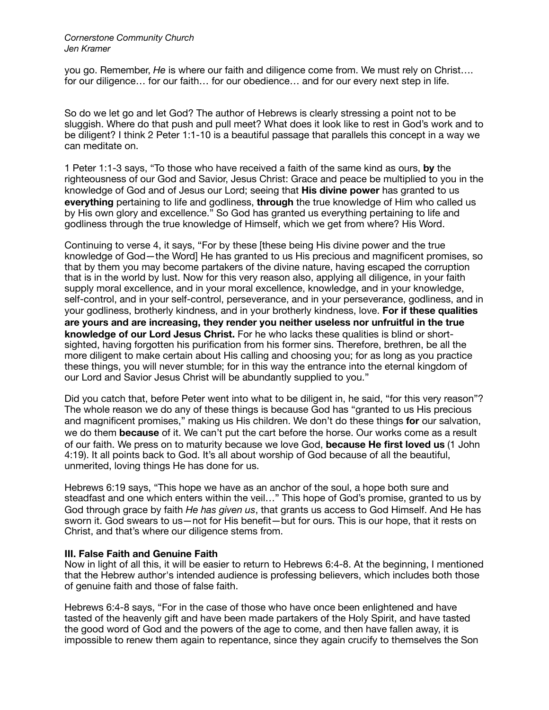you go. Remember, *He* is where our faith and diligence come from. We must rely on Christ…. for our diligence… for our faith… for our obedience… and for our every next step in life.

So do we let go and let God? The author of Hebrews is clearly stressing a point not to be sluggish. Where do that push and pull meet? What does it look like to rest in God's work and to be diligent? I think 2 Peter 1:1-10 is a beautiful passage that parallels this concept in a way we can meditate on.

1 Peter 1:1-3 says, "To those who have received a faith of the same kind as ours, **by** the righteousness of our God and Savior, Jesus Christ: Grace and peace be multiplied to you in the knowledge of God and of Jesus our Lord; seeing that **His divine power** has granted to us **everything** pertaining to life and godliness, **through** the true knowledge of Him who called us by His own glory and excellence." So God has granted us everything pertaining to life and godliness through the true knowledge of Himself, which we get from where? His Word.

Continuing to verse 4, it says, "For by these [these being His divine power and the true knowledge of God—the Word] He has granted to us His precious and magnificent promises, so that by them you may become partakers of the divine nature, having escaped the corruption that is in the world by lust. Now for this very reason also, applying all diligence, in your faith supply moral excellence, and in your moral excellence, knowledge, and in your knowledge, self-control, and in your self-control, perseverance, and in your perseverance, godliness, and in your godliness, brotherly kindness, and in your brotherly kindness, love. **For if these qualities are yours and are increasing, they render you neither useless nor unfruitful in the true knowledge of our Lord Jesus Christ.** For he who lacks these qualities is blind or shortsighted, having forgotten his purification from his former sins. Therefore, brethren, be all the more diligent to make certain about His calling and choosing you; for as long as you practice these things, you will never stumble; for in this way the entrance into the eternal kingdom of our Lord and Savior Jesus Christ will be abundantly supplied to you."

Did you catch that, before Peter went into what to be diligent in, he said, "for this very reason"? The whole reason we do any of these things is because God has "granted to us His precious and magnificent promises," making us His children. We don't do these things **for** our salvation, we do them **because** of it. We can't put the cart before the horse. Our works come as a result of our faith. We press on to maturity because we love God, **because He first loved us** (1 John 4:19). It all points back to God. It's all about worship of God because of all the beautiful, unmerited, loving things He has done for us.

Hebrews 6:19 says, "This hope we have as an anchor of the soul, a hope both sure and steadfast and one which enters within the veil…" This hope of God's promise, granted to us by God through grace by faith *He has given us*, that grants us access to God Himself. And He has sworn it. God swears to us—not for His benefit—but for ours. This is our hope, that it rests on Christ, and that's where our diligence stems from.

## **III. False Faith and Genuine Faith**

Now in light of all this, it will be easier to return to Hebrews 6:4-8. At the beginning, I mentioned that the Hebrew author's intended audience is professing believers, which includes both those of genuine faith and those of false faith.

Hebrews 6:4-8 says, "For in the case of those who have once been enlightened and have tasted of the heavenly gift and have been made partakers of the Holy Spirit, and have tasted the good word of God and the powers of the age to come, and then have fallen away, it is impossible to renew them again to repentance, since they again crucify to themselves the Son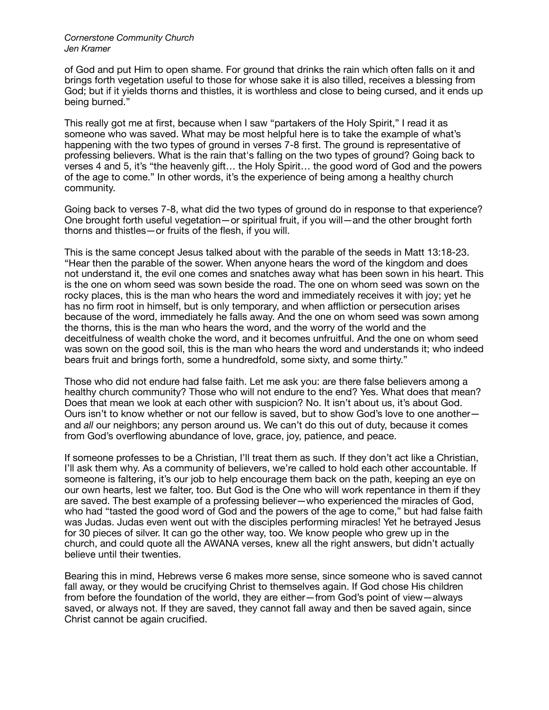of God and put Him to open shame. For ground that drinks the rain which often falls on it and brings forth vegetation useful to those for whose sake it is also tilled, receives a blessing from God; but if it yields thorns and thistles, it is worthless and close to being cursed, and it ends up being burned."

This really got me at first, because when I saw "partakers of the Holy Spirit," I read it as someone who was saved. What may be most helpful here is to take the example of what's happening with the two types of ground in verses 7-8 first. The ground is representative of professing believers. What is the rain that's falling on the two types of ground? Going back to verses 4 and 5, it's "the heavenly gift… the Holy Spirit… the good word of God and the powers of the age to come." In other words, it's the experience of being among a healthy church community.

Going back to verses 7-8, what did the two types of ground do in response to that experience? One brought forth useful vegetation—or spiritual fruit, if you will—and the other brought forth thorns and thistles—or fruits of the flesh, if you will.

This is the same concept Jesus talked about with the parable of the seeds in Matt 13:18-23. "Hear then the parable of the sower. When anyone hears the word of the kingdom and does not understand it, the evil one comes and snatches away what has been sown in his heart. This is the one on whom seed was sown beside the road. The one on whom seed was sown on the rocky places, this is the man who hears the word and immediately receives it with joy; yet he has no firm root in himself, but is only temporary, and when affliction or persecution arises because of the word, immediately he falls away. And the one on whom seed was sown among the thorns, this is the man who hears the word, and the worry of the world and the deceitfulness of wealth choke the word, and it becomes unfruitful. And the one on whom seed was sown on the good soil, this is the man who hears the word and understands it; who indeed bears fruit and brings forth, some a hundredfold, some sixty, and some thirty."

Those who did not endure had false faith. Let me ask you: are there false believers among a healthy church community? Those who will not endure to the end? Yes. What does that mean? Does that mean we look at each other with suspicion? No. It isn't about us, it's about God. Ours isn't to know whether or not our fellow is saved, but to show God's love to one another and *all* our neighbors; any person around us. We can't do this out of duty, because it comes from God's overflowing abundance of love, grace, joy, patience, and peace.

If someone professes to be a Christian, I'll treat them as such. If they don't act like a Christian, I'll ask them why. As a community of believers, we're called to hold each other accountable. If someone is faltering, it's our job to help encourage them back on the path, keeping an eye on our own hearts, lest we falter, too. But God is the One who will work repentance in them if they are saved. The best example of a professing believer—who experienced the miracles of God, who had "tasted the good word of God and the powers of the age to come," but had false faith was Judas. Judas even went out with the disciples performing miracles! Yet he betrayed Jesus for 30 pieces of silver. It can go the other way, too. We know people who grew up in the church, and could quote all the AWANA verses, knew all the right answers, but didn't actually believe until their twenties.

Bearing this in mind, Hebrews verse 6 makes more sense, since someone who is saved cannot fall away, or they would be crucifying Christ to themselves again. If God chose His children from before the foundation of the world, they are either—from God's point of view—always saved, or always not. If they are saved, they cannot fall away and then be saved again, since Christ cannot be again crucified.